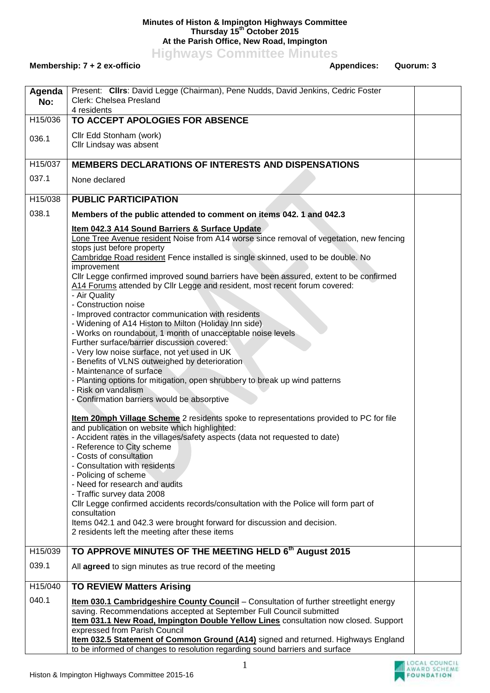## **Minutes of Histon & Impington Highways Committee Thursday 15th October 2015 At the Parish Office, New Road, Impington**

**Highways Committee Minutes**

## Membership: 7 + 2 ex-officio **Appendices:** Quorum: 3

| Agenda<br>No: | Present: Clirs: David Legge (Chairman), Pene Nudds, David Jenkins, Cedric Foster<br>Clerk: Chelsea Presland<br>4 residents                                                                                                                                                                                                                                                                                                                                                                                                                                                                                                                                                                                                                                                                                                                                                                                                                                                                                  |  |
|---------------|-------------------------------------------------------------------------------------------------------------------------------------------------------------------------------------------------------------------------------------------------------------------------------------------------------------------------------------------------------------------------------------------------------------------------------------------------------------------------------------------------------------------------------------------------------------------------------------------------------------------------------------------------------------------------------------------------------------------------------------------------------------------------------------------------------------------------------------------------------------------------------------------------------------------------------------------------------------------------------------------------------------|--|
| H15/036       | TO ACCEPT APOLOGIES FOR ABSENCE                                                                                                                                                                                                                                                                                                                                                                                                                                                                                                                                                                                                                                                                                                                                                                                                                                                                                                                                                                             |  |
| 036.1         | Cllr Edd Stonham (work)<br>Cllr Lindsay was absent                                                                                                                                                                                                                                                                                                                                                                                                                                                                                                                                                                                                                                                                                                                                                                                                                                                                                                                                                          |  |
| H15/037       | <b>MEMBERS DECLARATIONS OF INTERESTS AND DISPENSATIONS</b>                                                                                                                                                                                                                                                                                                                                                                                                                                                                                                                                                                                                                                                                                                                                                                                                                                                                                                                                                  |  |
| 037.1         | None declared                                                                                                                                                                                                                                                                                                                                                                                                                                                                                                                                                                                                                                                                                                                                                                                                                                                                                                                                                                                               |  |
| H15/038       | <b>PUBLIC PARTICIPATION</b>                                                                                                                                                                                                                                                                                                                                                                                                                                                                                                                                                                                                                                                                                                                                                                                                                                                                                                                                                                                 |  |
| 038.1         | Members of the public attended to comment on items 042.1 and 042.3                                                                                                                                                                                                                                                                                                                                                                                                                                                                                                                                                                                                                                                                                                                                                                                                                                                                                                                                          |  |
|               | Item 042.3 A14 Sound Barriers & Surface Update<br>Lone Tree Avenue resident Noise from A14 worse since removal of vegetation, new fencing<br>stops just before property<br>Cambridge Road resident Fence installed is single skinned, used to be double. No<br>improvement<br>Cllr Legge confirmed improved sound barriers have been assured, extent to be confirmed<br>A14 Forums attended by Cllr Legge and resident, most recent forum covered:<br>- Air Quality<br>- Construction noise<br>- Improved contractor communication with residents<br>- Widening of A14 Histon to Milton (Holiday Inn side)<br>- Works on roundabout, 1 month of unacceptable noise levels<br>Further surface/barrier discussion covered:<br>- Very low noise surface, not yet used in UK<br>- Benefits of VLNS outweighed by deterioration<br>- Maintenance of surface<br>- Planting options for mitigation, open shrubbery to break up wind patterns<br>- Risk on vandalism<br>- Confirmation barriers would be absorptive |  |
|               | Item 20mph Village Scheme 2 residents spoke to representations provided to PC for file<br>and publication on website which highlighted:<br>- Accident rates in the villages/safety aspects (data not requested to date)<br>- Reference to City scheme<br>- Costs of consultation<br>- Consultation with residents<br>- Policing of scheme<br>- Need for research and audits<br>- Traffic survey data 2008<br>CIIr Legge confirmed accidents records/consultation with the Police will form part of<br>consultation<br>Items 042.1 and 042.3 were brought forward for discussion and decision.<br>2 residents left the meeting after these items                                                                                                                                                                                                                                                                                                                                                             |  |
| H15/039       | TO APPROVE MINUTES OF THE MEETING HELD 6th August 2015                                                                                                                                                                                                                                                                                                                                                                                                                                                                                                                                                                                                                                                                                                                                                                                                                                                                                                                                                      |  |
| 039.1         | All agreed to sign minutes as true record of the meeting                                                                                                                                                                                                                                                                                                                                                                                                                                                                                                                                                                                                                                                                                                                                                                                                                                                                                                                                                    |  |
| H15/040       | <b>TO REVIEW Matters Arising</b>                                                                                                                                                                                                                                                                                                                                                                                                                                                                                                                                                                                                                                                                                                                                                                                                                                                                                                                                                                            |  |
| 040.1         | Item 030.1 Cambridgeshire County Council - Consultation of further streetlight energy<br>saving. Recommendations accepted at September Full Council submitted<br>Item 031.1 New Road, Impington Double Yellow Lines consultation now closed. Support<br>expressed from Parish Council<br><b>Item 032.5 Statement of Common Ground (A14)</b> signed and returned. Highways England<br>to be informed of changes to resolution regarding sound barriers and surface                                                                                                                                                                                                                                                                                                                                                                                                                                                                                                                                           |  |
|               | 1<br>Histon & Impington Highways Committee 2015-16                                                                                                                                                                                                                                                                                                                                                                                                                                                                                                                                                                                                                                                                                                                                                                                                                                                                                                                                                          |  |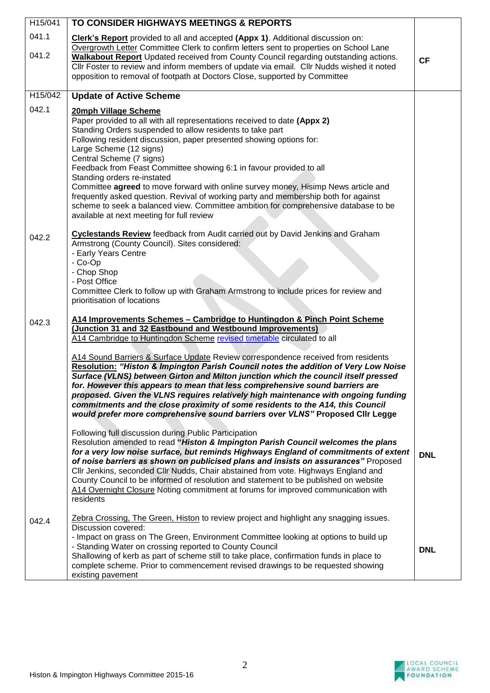| H15/041        | TO CONSIDER HIGHWAYS MEETINGS & REPORTS                                                                                                                                                                                                                                                                                                                                                                                                                                                                                                                                                                                                                                                                                                                                                                                                                                                                                                                                                                                                                                                                                                                                                                                                   |            |
|----------------|-------------------------------------------------------------------------------------------------------------------------------------------------------------------------------------------------------------------------------------------------------------------------------------------------------------------------------------------------------------------------------------------------------------------------------------------------------------------------------------------------------------------------------------------------------------------------------------------------------------------------------------------------------------------------------------------------------------------------------------------------------------------------------------------------------------------------------------------------------------------------------------------------------------------------------------------------------------------------------------------------------------------------------------------------------------------------------------------------------------------------------------------------------------------------------------------------------------------------------------------|------------|
| 041.1<br>041.2 | Clerk's Report provided to all and accepted (Appx 1). Additional discussion on:<br>Overgrowth Letter Committee Clerk to confirm letters sent to properties on School Lane<br><b>Walkabout Report</b> Updated received from County Council regarding outstanding actions.<br>CIIr Foster to review and inform members of update via email. CIIr Nudds wished it noted<br>opposition to removal of footpath at Doctors Close, supported by Committee                                                                                                                                                                                                                                                                                                                                                                                                                                                                                                                                                                                                                                                                                                                                                                                        | <b>CF</b>  |
| H15/042        | <b>Update of Active Scheme</b>                                                                                                                                                                                                                                                                                                                                                                                                                                                                                                                                                                                                                                                                                                                                                                                                                                                                                                                                                                                                                                                                                                                                                                                                            |            |
| 042.1          | 20mph Village Scheme<br>Paper provided to all with all representations received to date (Appx 2)<br>Standing Orders suspended to allow residents to take part<br>Following resident discussion, paper presented showing options for:<br>Large Scheme (12 signs)<br>Central Scheme (7 signs)<br>Feedback from Feast Committee showing 6:1 in favour provided to all<br>Standing orders re-instated<br>Committee agreed to move forward with online survey money, Hisimp News article and<br>frequently asked question. Revival of working party and membership both for against<br>scheme to seek a balanced view. Committee ambition for comprehensive database to be<br>available at next meeting for full review                                                                                                                                                                                                                                                                                                                                                                                                                                                                                                                        |            |
| 042.2          | Cyclestands Review feedback from Audit carried out by David Jenkins and Graham<br>Armstrong (County Council). Sites considered:<br>- Early Years Centre<br>- Co-Op<br>- Chop Shop<br>- Post Office<br>Committee Clerk to follow up with Graham Armstrong to include prices for review and<br>prioritisation of locations                                                                                                                                                                                                                                                                                                                                                                                                                                                                                                                                                                                                                                                                                                                                                                                                                                                                                                                  |            |
| 042.3          | A14 Improvements Schemes - Cambridge to Huntingdon & Pinch Point Scheme<br>(Junction 31 and 32 Eastbound and Westbound Improvements)<br>A14 Cambridge to Huntingdon Scheme revised timetable circulated to all<br>A14 Sound Barriers & Surface Update Review correspondence received from residents<br>Resolution: "Histon & Impington Parish Council notes the addition of Very Low Noise<br>Surface (VLNS) between Girton and Milton junction which the council itself pressed<br>for. However this appears to mean that less comprehensive sound barriers are<br>proposed. Given the VLNS requires relatively high maintenance with ongoing funding<br>commitments and the close proximity of some residents to the A14, this Council<br>would prefer more comprehensive sound barriers over VLNS" Proposed Cllr Legge<br>Following full discussion during Public Participation<br>Resolution amended to read "Histon & Impington Parish Council welcomes the plans<br>for a very low noise surface, but reminds Highways England of commitments of extent<br>of noise barriers as shown on publicised plans and insists on assurances" Proposed<br>CIIr Jenkins, seconded CIIr Nudds, Chair abstained from vote. Highways England and | <b>DNL</b> |
| 042.4          | County Council to be informed of resolution and statement to be published on website<br>A14 Overnight Closure Noting commitment at forums for improved communication with<br>residents<br>Zebra Crossing, The Green, Histon to review project and highlight any snagging issues.<br>Discussion covered:<br>- Impact on grass on The Green, Environment Committee looking at options to build up<br>- Standing Water on crossing reported to County Council<br>Shallowing of kerb as part of scheme still to take place, confirmation funds in place to<br>complete scheme. Prior to commencement revised drawings to be requested showing<br>existing pavement                                                                                                                                                                                                                                                                                                                                                                                                                                                                                                                                                                            | <b>DNL</b> |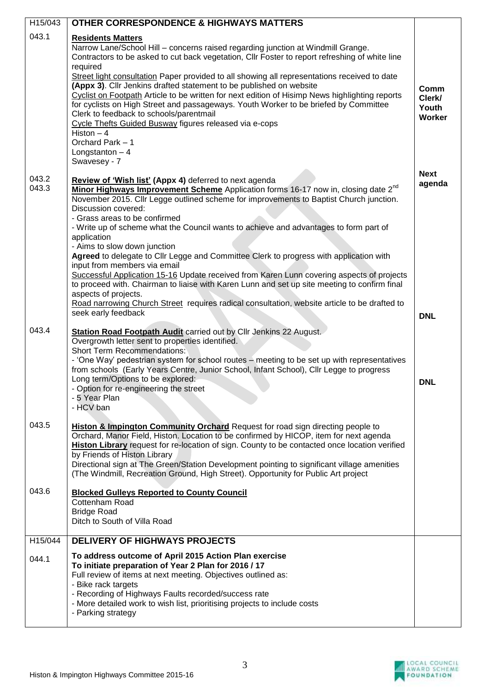| H15/043                 | <b>OTHER CORRESPONDENCE &amp; HIGHWAYS MATTERS</b>                                                                                                                                                                                                                                                                                                                                                                                                                                                                                                                                                                                                                                                                                                                                                                                                                                                                       |                                     |
|-------------------------|--------------------------------------------------------------------------------------------------------------------------------------------------------------------------------------------------------------------------------------------------------------------------------------------------------------------------------------------------------------------------------------------------------------------------------------------------------------------------------------------------------------------------------------------------------------------------------------------------------------------------------------------------------------------------------------------------------------------------------------------------------------------------------------------------------------------------------------------------------------------------------------------------------------------------|-------------------------------------|
| 043.1                   | <b>Residents Matters</b><br>Narrow Lane/School Hill - concerns raised regarding junction at Windmill Grange.                                                                                                                                                                                                                                                                                                                                                                                                                                                                                                                                                                                                                                                                                                                                                                                                             |                                     |
|                         | Contractors to be asked to cut back vegetation, Cllr Foster to report refreshing of white line<br>required<br>Street light consultation Paper provided to all showing all representations received to date<br>(Appx 3). Cllr Jenkins drafted statement to be published on website<br>Cyclist on Footpath Article to be written for next edition of Hisimp News highlighting reports<br>for cyclists on High Street and passageways. Youth Worker to be briefed by Committee<br>Clerk to feedback to schools/parentmail<br>Cycle Thefts Guided Busway figures released via e-cops<br>Histon $-4$<br>Orchard Park - 1<br>Longstanton $-4$<br>Swavesey - 7                                                                                                                                                                                                                                                                  | Comm<br>Clerk/<br>Youth<br>Worker   |
| 043.2<br>043.3<br>043.4 | Review of 'Wish list' (Appx 4) deferred to next agenda<br>Minor Highways Improvement Scheme Application forms 16-17 now in, closing date 2 <sup>nd</sup><br>November 2015. Cllr Legge outlined scheme for improvements to Baptist Church junction.<br>Discussion covered:<br>- Grass areas to be confirmed<br>- Write up of scheme what the Council wants to achieve and advantages to form part of<br>application<br>- Aims to slow down junction<br>Agreed to delegate to Cllr Legge and Committee Clerk to progress with application with<br>input from members via email<br>Successful Application 15-16 Update received from Karen Lunn covering aspects of projects<br>to proceed with. Chairman to liaise with Karen Lunn and set up site meeting to confirm final<br>aspects of projects.<br>Road narrowing Church Street requires radical consultation, website article to be drafted to<br>seek early feedback | <b>Next</b><br>agenda<br><b>DNL</b> |
|                         | <b>Station Road Footpath Audit carried out by Cllr Jenkins 22 August.</b><br>Overgrowth letter sent to properties identified.<br><b>Short Term Recommendations:</b><br>- 'One Way' pedestrian system for school routes – meeting to be set up with representatives<br>from schools (Early Years Centre, Junior School, Infant School), Cllr Legge to progress<br>Long term/Options to be explored:<br>- Option for re-engineering the street<br>- 5 Year Plan<br>- HCV ban                                                                                                                                                                                                                                                                                                                                                                                                                                               | <b>DNL</b>                          |
| 043.5                   | Histon & Impington Community Orchard Request for road sign directing people to<br>Orchard, Manor Field, Histon. Location to be confirmed by HICOP, item for next agenda<br>Histon Library request for re-location of sign. County to be contacted once location verified<br>by Friends of Histon Library<br>Directional sign at The Green/Station Development pointing to significant village amenities<br>(The Windmill, Recreation Ground, High Street). Opportunity for Public Art project                                                                                                                                                                                                                                                                                                                                                                                                                            |                                     |
| 043.6                   | <b>Blocked Gulleys Reported to County Council</b><br>Cottenham Road<br><b>Bridge Road</b><br>Ditch to South of Villa Road                                                                                                                                                                                                                                                                                                                                                                                                                                                                                                                                                                                                                                                                                                                                                                                                |                                     |
| H15/044                 | <b>DELIVERY OF HIGHWAYS PROJECTS</b>                                                                                                                                                                                                                                                                                                                                                                                                                                                                                                                                                                                                                                                                                                                                                                                                                                                                                     |                                     |
| 044.1                   | To address outcome of April 2015 Action Plan exercise<br>To initiate preparation of Year 2 Plan for 2016 / 17<br>Full review of items at next meeting. Objectives outlined as:<br>- Bike rack targets<br>- Recording of Highways Faults recorded/success rate<br>- More detailed work to wish list, prioritising projects to include costs<br>- Parking strategy                                                                                                                                                                                                                                                                                                                                                                                                                                                                                                                                                         |                                     |